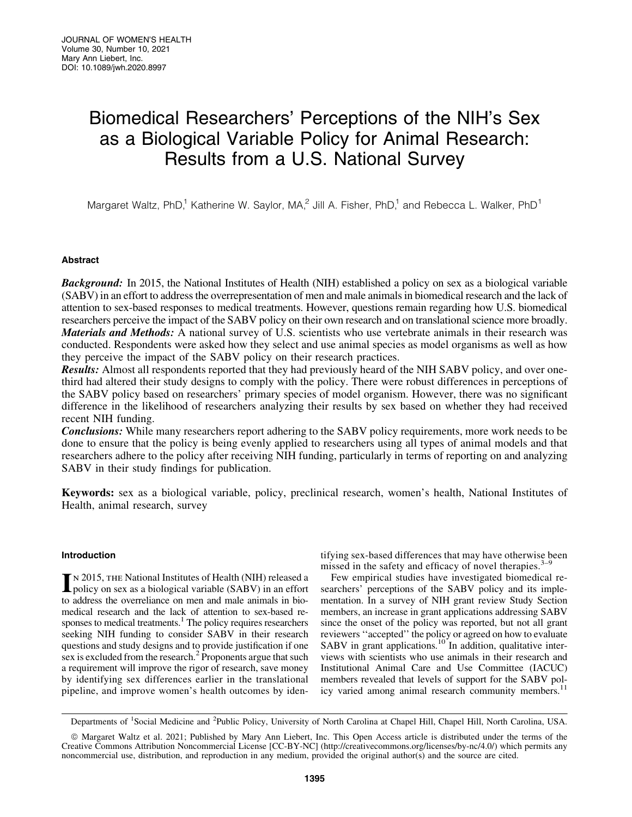# Biomedical Researchers' Perceptions of the NIH's Sex as a Biological Variable Policy for Animal Research: Results from a U.S. National Survey

Margaret Waltz, PhD,<sup>1</sup> Katherine W. Saylor, MA,<sup>2</sup> Jill A. Fisher, PhD,<sup>1</sup> and Rebecca L. Walker, PhD<sup>1</sup>

# Abstract

**Background:** In 2015, the National Institutes of Health (NIH) established a policy on sex as a biological variable (SABV) in an effort to address the overrepresentation of men and male animals in biomedical research and the lack of attention to sex-based responses to medical treatments. However, questions remain regarding how U.S. biomedical researchers perceive the impact of the SABV policy on their own research and on translational science more broadly. Materials and Methods: A national survey of U.S. scientists who use vertebrate animals in their research was conducted. Respondents were asked how they select and use animal species as model organisms as well as how they perceive the impact of the SABV policy on their research practices.

**Results:** Almost all respondents reported that they had previously heard of the NIH SABV policy, and over onethird had altered their study designs to comply with the policy. There were robust differences in perceptions of the SABV policy based on researchers' primary species of model organism. However, there was no significant difference in the likelihood of researchers analyzing their results by sex based on whether they had received recent NIH funding.

**Conclusions:** While many researchers report adhering to the SABV policy requirements, more work needs to be done to ensure that the policy is being evenly applied to researchers using all types of animal models and that researchers adhere to the policy after receiving NIH funding, particularly in terms of reporting on and analyzing SABV in their study findings for publication.

Keywords: sex as a biological variable, policy, preclinical research, women's health, National Institutes of Health, animal research, survey

## Introduction

IN 2015, THE National Institutes of Health (NIH) released a<br>policy on sex as a biological variable (SABV) in an effort to address the overreliance on men and male animals in biomedical research and the lack of attention to sex-based responses to medical treatments.<sup>1</sup> The policy requires researchers seeking NIH funding to consider SABV in their research questions and study designs and to provide justification if one sex is excluded from the research.<sup>2</sup> Proponents argue that such a requirement will improve the rigor of research, save money by identifying sex differences earlier in the translational pipeline, and improve women's health outcomes by identifying sex-based differences that may have otherwise been missed in the safety and efficacy of novel therapies. $3-9$ 

Few empirical studies have investigated biomedical researchers' perceptions of the SABV policy and its implementation. In a survey of NIH grant review Study Section members, an increase in grant applications addressing SABV since the onset of the policy was reported, but not all grant reviewers ''accepted'' the policy or agreed on how to evaluate SABV in grant applications.<sup>10</sup> In addition, qualitative interviews with scientists who use animals in their research and Institutional Animal Care and Use Committee (IACUC) members revealed that levels of support for the SABV policy varied among animal research community members.<sup>11</sup>

Departments of <sup>1</sup>Social Medicine and <sup>2</sup>Public Policy, University of North Carolina at Chapel Hill, Chapel Hill, North Carolina, USA.

ª Margaret Waltz et al. 2021; Published by Mary Ann Liebert, Inc. This Open Access article is distributed under the terms of the Creative Commons Attribution Noncommercial License [CC-BY-NC] (<http://creativecommons.org/licenses/by-nc/4.0/>) which permits any noncommercial use, distribution, and reproduction in any medium, provided the original author(s) and the source are cited.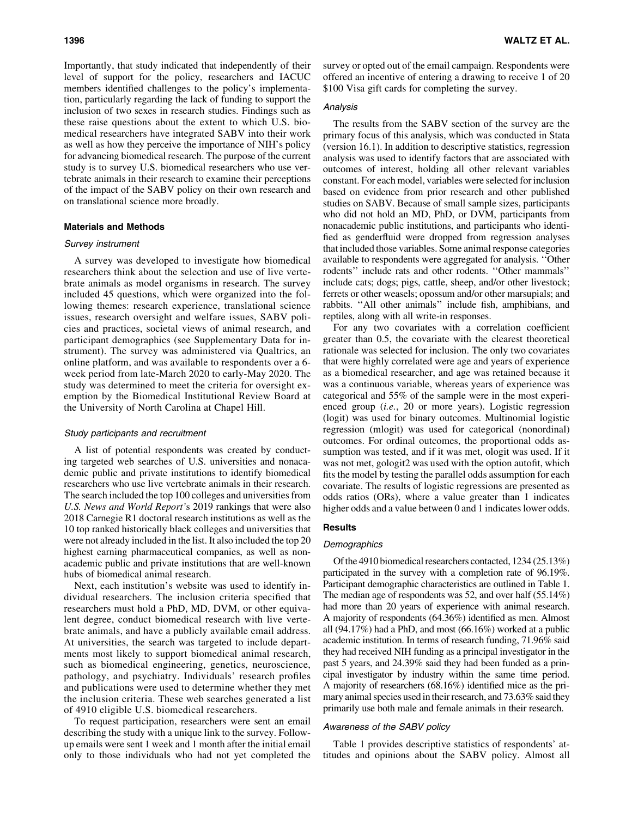Importantly, that study indicated that independently of their level of support for the policy, researchers and IACUC members identified challenges to the policy's implementation, particularly regarding the lack of funding to support the inclusion of two sexes in research studies. Findings such as these raise questions about the extent to which U.S. biomedical researchers have integrated SABV into their work as well as how they perceive the importance of NIH's policy for advancing biomedical research. The purpose of the current study is to survey U.S. biomedical researchers who use vertebrate animals in their research to examine their perceptions of the impact of the SABV policy on their own research and on translational science more broadly.

# Materials and Methods

#### Survey instrument

A survey was developed to investigate how biomedical researchers think about the selection and use of live vertebrate animals as model organisms in research. The survey included 45 questions, which were organized into the following themes: research experience, translational science issues, research oversight and welfare issues, SABV policies and practices, societal views of animal research, and participant demographics (see Supplementary Data for instrument). The survey was administered via Qualtrics, an online platform, and was available to respondents over a 6 week period from late-March 2020 to early-May 2020. The study was determined to meet the criteria for oversight exemption by the Biomedical Institutional Review Board at the University of North Carolina at Chapel Hill.

#### Study participants and recruitment

A list of potential respondents was created by conducting targeted web searches of U.S. universities and nonacademic public and private institutions to identify biomedical researchers who use live vertebrate animals in their research. The search included the top 100 colleges and universities from *U.S. News and World Report'*s 2019 rankings that were also 2018 Carnegie R1 doctoral research institutions as well as the 10 top ranked historically black colleges and universities that were not already included in the list. It also included the top 20 highest earning pharmaceutical companies, as well as nonacademic public and private institutions that are well-known hubs of biomedical animal research.

Next, each institution's website was used to identify individual researchers. The inclusion criteria specified that researchers must hold a PhD, MD, DVM, or other equivalent degree, conduct biomedical research with live vertebrate animals, and have a publicly available email address. At universities, the search was targeted to include departments most likely to support biomedical animal research, such as biomedical engineering, genetics, neuroscience, pathology, and psychiatry. Individuals' research profiles and publications were used to determine whether they met the inclusion criteria. These web searches generated a list of 4910 eligible U.S. biomedical researchers.

To request participation, researchers were sent an email describing the study with a unique link to the survey. Followup emails were sent 1 week and 1 month after the initial email only to those individuals who had not yet completed the survey or opted out of the email campaign. Respondents were offered an incentive of entering a drawing to receive 1 of 20 \$100 Visa gift cards for completing the survey.

## Analysis

The results from the SABV section of the survey are the primary focus of this analysis, which was conducted in Stata (version 16.1). In addition to descriptive statistics, regression analysis was used to identify factors that are associated with outcomes of interest, holding all other relevant variables constant. For each model, variables were selected for inclusion based on evidence from prior research and other published studies on SABV. Because of small sample sizes, participants who did not hold an MD, PhD, or DVM, participants from nonacademic public institutions, and participants who identified as genderfluid were dropped from regression analyses that included those variables. Some animal response categories available to respondents were aggregated for analysis. ''Other rodents'' include rats and other rodents. ''Other mammals'' include cats; dogs; pigs, cattle, sheep, and/or other livestock; ferrets or other weasels; opossum and/or other marsupials; and rabbits. ''All other animals'' include fish, amphibians, and reptiles, along with all write-in responses.

For any two covariates with a correlation coefficient greater than 0.5, the covariate with the clearest theoretical rationale was selected for inclusion. The only two covariates that were highly correlated were age and years of experience as a biomedical researcher, and age was retained because it was a continuous variable, whereas years of experience was categorical and 55% of the sample were in the most experienced group (*i.e.*, 20 or more years). Logistic regression (logit) was used for binary outcomes. Multinomial logistic regression (mlogit) was used for categorical (nonordinal) outcomes. For ordinal outcomes, the proportional odds assumption was tested, and if it was met, ologit was used. If it was not met, gologit2 was used with the option autofit, which fits the model by testing the parallel odds assumption for each covariate. The results of logistic regressions are presented as odds ratios (ORs), where a value greater than 1 indicates higher odds and a value between 0 and 1 indicates lower odds.

## **Results**

#### **Demographics**

Of the 4910 biomedical researchers contacted, 1234 (25.13%) participated in the survey with a completion rate of 96.19%. Participant demographic characteristics are outlined in Table 1. The median age of respondents was 52, and over half (55.14%) had more than 20 years of experience with animal research. A majority of respondents (64.36%) identified as men. Almost all (94.17%) had a PhD, and most (66.16%) worked at a public academic institution. In terms of research funding, 71.96% said they had received NIH funding as a principal investigator in the past 5 years, and 24.39% said they had been funded as a principal investigator by industry within the same time period. A majority of researchers (68.16%) identified mice as the primary animal species used in their research, and 73.63% said they primarily use both male and female animals in their research.

# Awareness of the SABV policy

Table 1 provides descriptive statistics of respondents' attitudes and opinions about the SABV policy. Almost all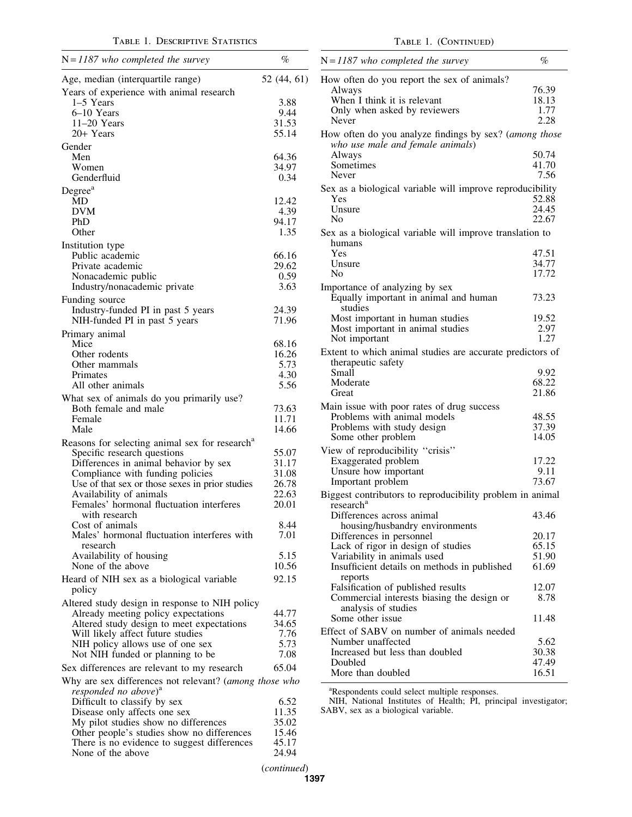| $N = 1187$ who completed the survey                                                     | $\%$           |
|-----------------------------------------------------------------------------------------|----------------|
| Age, median (interquartile range)                                                       | 52 (44, 61)    |
| Years of experience with animal research                                                |                |
| 1-5 Years                                                                               | 3.88           |
| 6–10 Years                                                                              | 9.44           |
| 11-20 Years                                                                             | 31.53          |
| 20+ Years                                                                               | 55.14          |
| Gender                                                                                  |                |
| Men<br>Women                                                                            | 64.36<br>34.97 |
| Genderfluid                                                                             | 0.34           |
| Degree <sup>a</sup>                                                                     |                |
| MD                                                                                      | 12.42          |
| <b>DVM</b>                                                                              | 4.39           |
| PhD                                                                                     | 94.17          |
| Other                                                                                   | 1.35           |
| Institution type                                                                        |                |
| Public academic<br>Private academic                                                     | 66.16<br>29.62 |
| Nonacademic public                                                                      | 0.59           |
| Industry/nonacademic private                                                            | 3.63           |
| Funding source                                                                          |                |
| Industry-funded PI in past 5 years                                                      | 24.39          |
| NIH-funded PI in past 5 years                                                           | 71.96          |
| Primary animal                                                                          |                |
| Mice                                                                                    | 68.16          |
| Other rodents                                                                           | 16.26          |
| Other mammals                                                                           | 5.73<br>4.30   |
| Primates<br>All other animals                                                           | 5.56           |
|                                                                                         |                |
| What sex of animals do you primarily use?<br>Both female and male                       | 73.63          |
| Female                                                                                  | 11.71          |
| Male                                                                                    | 14.66          |
| Reasons for selecting animal sex for research <sup>a</sup>                              |                |
| Specific research questions                                                             | 55.07          |
| Differences in animal behavior by sex                                                   | 31.17          |
| Compliance with funding policies                                                        | 31.08          |
| Use of that sex or those sexes in prior studies                                         | 26.78          |
| Availability of animals                                                                 | 22.63          |
| Females' hormonal fluctuation interferes<br>with research                               | 20.01          |
| Cost of animals                                                                         | 8.44           |
| Males' hormonal fluctuation interferes with                                             | 7.01           |
| research                                                                                |                |
| Availability of housing<br>None of the above                                            | 5.15           |
|                                                                                         | 10.56          |
| Heard of NIH sex as a biological variable<br>policy                                     | 92.15          |
| Altered study design in response to NIH policy                                          |                |
| Already meeting policy expectations                                                     | 44.77          |
| Altered study design to meet expectations                                               | 34.65          |
| Will likely affect future studies                                                       | 7.76           |
| NIH policy allows use of one sex                                                        | 5.73           |
| Not NIH funded or planning to be                                                        | 7.08           |
| Sex differences are relevant to my research                                             | 65.04          |
| Why are sex differences not relevant? (among those who responded no above) <sup>a</sup> |                |
|                                                                                         |                |
| Difficult to classify by sex                                                            | 6.52<br>11.35  |
| Disease only affects one sex<br>My pilot studies show no differences                    | 35.02          |
| Other people's studies show no differences                                              | 15.46          |
| There is no evidence to suggest differences                                             | 45.17          |
| None of the above                                                                       | 24.94          |
|                                                                                         | (continued)    |

TABLE 1. (CONTINUED)

| $N = 1187$ who completed the survey                                                        | $\%$          |
|--------------------------------------------------------------------------------------------|---------------|
| How often do you report the sex of animals?                                                |               |
| Always                                                                                     | 76.39         |
| When I think it is relevant                                                                | 18.13         |
| Only when asked by reviewers                                                               | 1.77          |
| Never                                                                                      | 2.28          |
| How often do you analyze findings by sex? (among those<br>who use male and female animals) |               |
| Always                                                                                     | 50.74         |
| Sometimes                                                                                  | 41.70         |
| Never                                                                                      | 7.56          |
| Sex as a biological variable will improve reproducibility                                  |               |
| Yes                                                                                        | 52.88         |
| Unsure                                                                                     | 24.45         |
| No                                                                                         | 22.67         |
| Sex as a biological variable will improve translation to<br>humans                         |               |
| Yes                                                                                        | 47.51         |
| Unsure                                                                                     | 34.77         |
| N <sub>0</sub>                                                                             | 17.72         |
| Importance of analyzing by sex                                                             |               |
| Equally important in animal and human<br>studies                                           | 73.23         |
| Most important in human studies                                                            | 19.52         |
| Most important in animal studies                                                           | 2.97          |
| Not important                                                                              | 1.27          |
| Extent to which animal studies are accurate predictors of<br>therapeutic safety            |               |
| Small                                                                                      | 9.92          |
| Moderate                                                                                   | 68.22         |
| Great                                                                                      | 21.86         |
| Main issue with poor rates of drug success                                                 |               |
| Problems with animal models                                                                | 48.55         |
| Problems with study design                                                                 | 37.39         |
| Some other problem                                                                         | 14.05         |
|                                                                                            |               |
| View of reproducibility "crisis"                                                           |               |
| Exaggerated problem                                                                        | 17.22         |
| Unsure how important                                                                       | 9.11<br>73.67 |
| Important problem                                                                          |               |
| Biggest contributors to reproducibility problem in animal<br>research <sup>a</sup>         |               |
| Differences across animal                                                                  | 43.46         |
| housing/husbandry environments                                                             |               |
| Differences in personnel                                                                   | 20.17         |
| Lack of rigor in design of studies                                                         | 65.15         |
| Variability in animals used                                                                | 51.90         |
| Insufficient details on methods in published<br>reports                                    | 61.69         |
| Falsification of published results                                                         | 12.07         |
| Commercial interests biasing the design or                                                 | 8.78          |
| analysis of studies                                                                        |               |
| Some other issue                                                                           | 11.48         |
| Effect of SABV on number of animals needed                                                 |               |
| Number unaffected                                                                          | 5.62          |
| Increased but less than doubled                                                            | 30.38         |
| Doubled                                                                                    | 47.49         |
| More than doubled                                                                          | 16.51         |

<sup>a</sup>Respondents could select multiple responses.

NIH, National Institutes of Health; PI, principal investigator; SABV, sex as a biological variable.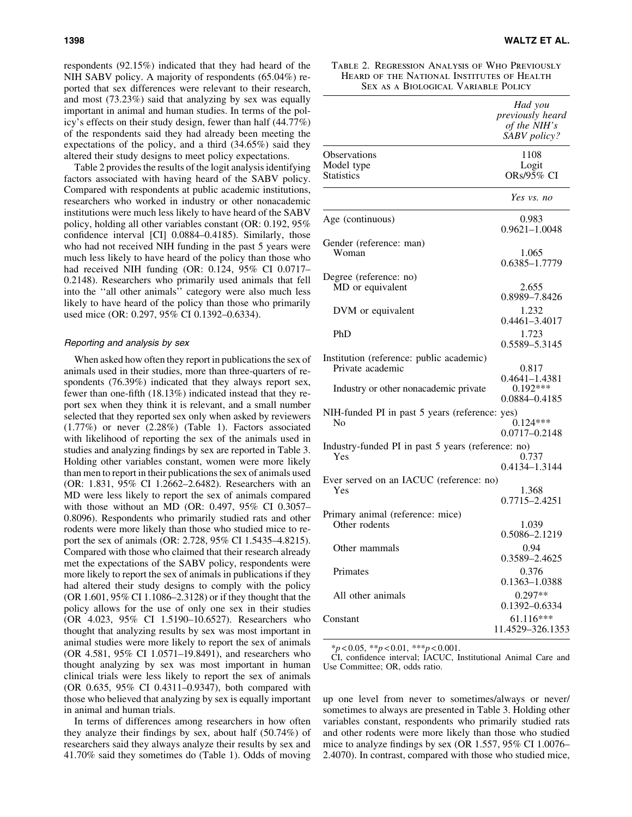respondents (92.15%) indicated that they had heard of the NIH SABV policy. A majority of respondents (65.04%) reported that sex differences were relevant to their research, and most (73.23%) said that analyzing by sex was equally important in animal and human studies. In terms of the policy's effects on their study design, fewer than half (44.77%) of the respondents said they had already been meeting the expectations of the policy, and a third (34.65%) said they altered their study designs to meet policy expectations.

Table 2 provides the results of the logit analysis identifying factors associated with having heard of the SABV policy. Compared with respondents at public academic institutions, researchers who worked in industry or other nonacademic institutions were much less likely to have heard of the SABV policy, holding all other variables constant (OR: 0.192, 95% confidence interval [CI] 0.0884–0.4185). Similarly, those who had not received NIH funding in the past 5 years were much less likely to have heard of the policy than those who had received NIH funding (OR: 0.124, 95% CI 0.0717– 0.2148). Researchers who primarily used animals that fell into the ''all other animals'' category were also much less likely to have heard of the policy than those who primarily used mice (OR: 0.297, 95% CI 0.1392–0.6334).

#### Reporting and analysis by sex

When asked how often they report in publications the sex of animals used in their studies, more than three-quarters of respondents (76.39%) indicated that they always report sex, fewer than one-fifth (18.13%) indicated instead that they report sex when they think it is relevant, and a small number selected that they reported sex only when asked by reviewers (1.77%) or never (2.28%) (Table 1). Factors associated with likelihood of reporting the sex of the animals used in studies and analyzing findings by sex are reported in Table 3. Holding other variables constant, women were more likely than men to report in their publications the sex of animals used (OR: 1.831, 95% CI 1.2662–2.6482). Researchers with an MD were less likely to report the sex of animals compared with those without an MD (OR: 0.497, 95% CI 0.3057– 0.8096). Respondents who primarily studied rats and other rodents were more likely than those who studied mice to report the sex of animals (OR: 2.728, 95% CI 1.5435–4.8215). Compared with those who claimed that their research already met the expectations of the SABV policy, respondents were more likely to report the sex of animals in publications if they had altered their study designs to comply with the policy (OR 1.601, 95% CI 1.1086–2.3128) or if they thought that the policy allows for the use of only one sex in their studies (OR 4.023, 95% CI 1.5190–10.6527). Researchers who thought that analyzing results by sex was most important in animal studies were more likely to report the sex of animals (OR 4.581, 95% CI 1.0571–19.8491), and researchers who thought analyzing by sex was most important in human clinical trials were less likely to report the sex of animals (OR 0.635, 95% CI 0.4311–0.9347), both compared with those who believed that analyzing by sex is equally important in animal and human trials.

In terms of differences among researchers in how often they analyze their findings by sex, about half (50.74%) of researchers said they always analyze their results by sex and 41.70% said they sometimes do (Table 1). Odds of moving

| TABLE 2. REGRESSION ANALYSIS OF WHO PREVIOUSLY |
|------------------------------------------------|
| HEARD OF THE NATIONAL INSTITUTES OF HEALTH     |
| SEX AS A BIOLOGICAL VARIABLE POLICY            |

|                                                              | Had you<br>previously heard<br>of the NIH's<br>SABV policy? |
|--------------------------------------------------------------|-------------------------------------------------------------|
| <b>Observations</b><br>Model type<br><b>Statistics</b>       | 1108<br>Logit<br>ORs/ $95\%$ CI                             |
|                                                              | Yes vs. no                                                  |
| Age (continuous)                                             | 0.983<br>$0.9621 - 1.0048$                                  |
| Gender (reference: man)<br>Woman                             | 1.065<br>0.6385-1.7779                                      |
| Degree (reference: no)<br>MD or equivalent                   | 2.655<br>0.8989-7.8426                                      |
| DVM or equivalent                                            | 1.232<br>$0.4461 - 3.4017$                                  |
| PhD                                                          | 1.723<br>0.5589-5.3145                                      |
| Institution (reference: public academic)<br>Private academic | 0.817<br>$0.4641 - 1.4381$                                  |
| Industry or other nonacademic private                        | $0.192***$<br>0.0884-0.4185                                 |
| NIH-funded PI in past 5 years (reference: yes)<br>No         | $0.124***$<br>0.0717-0.2148                                 |
| Industry-funded PI in past 5 years (reference: no)<br>Yes    | 0.737<br>0.4134-1.3144                                      |
| Ever served on an IACUC (reference: no)<br>Yes               | 1.368                                                       |
| Primary animal (reference: mice)                             | 0.7715-2.4251                                               |
| Other rodents                                                | 1.039<br>0.5086-2.1219                                      |
| Other mammals                                                | 0.94<br>0.3589-2.4625                                       |
| Primates                                                     | 0.376<br>0.1363-1.0388                                      |
| All other animals                                            | $0.297**$<br>0.1392-0.6334                                  |
| Constant                                                     | 61.116***<br>11.4529-326.1353                               |

\**p* < 0.05, \*\**p* < 0.01, \*\*\**p* < 0.001.

CI, confidence interval; IACUC, Institutional Animal Care and Use Committee; OR, odds ratio.

up one level from never to sometimes/always or never/ sometimes to always are presented in Table 3. Holding other variables constant, respondents who primarily studied rats and other rodents were more likely than those who studied mice to analyze findings by sex (OR 1.557, 95% CI 1.0076– 2.4070). In contrast, compared with those who studied mice,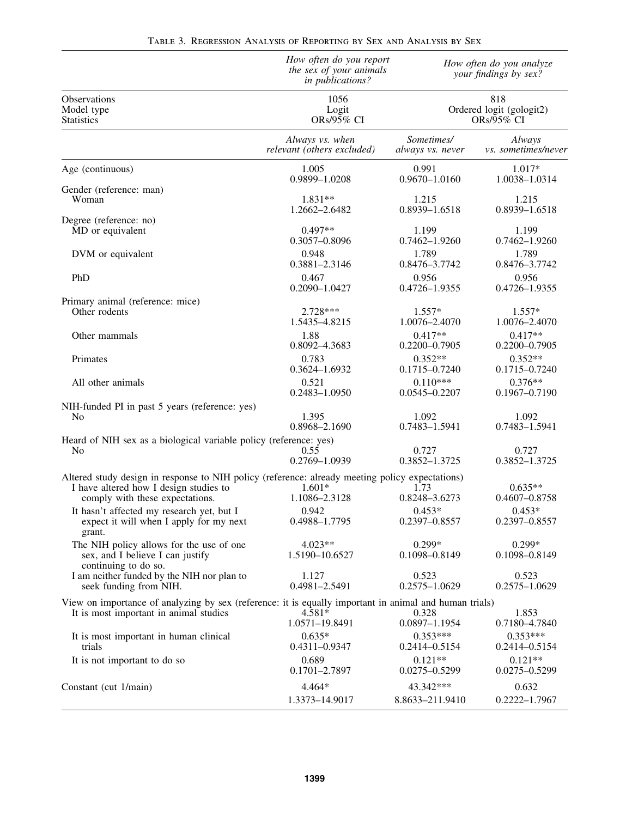|                                                                                                                                                                              | How often do you report<br>the sex of your animals<br>in publications? |                           | How often do you analyze<br>your findings by sex?<br>818<br>Ordered logit (gologit2)<br>ORs/95% CI |  |
|------------------------------------------------------------------------------------------------------------------------------------------------------------------------------|------------------------------------------------------------------------|---------------------------|----------------------------------------------------------------------------------------------------|--|
| Observations<br>Model type<br><b>Statistics</b>                                                                                                                              | 1056<br>Logit<br>ORs/95% CI                                            |                           |                                                                                                    |  |
|                                                                                                                                                                              | Always vs. when                                                        | Sometimes/                | Always                                                                                             |  |
|                                                                                                                                                                              | relevant (others excluded)                                             | always vs. never          | vs. sometimes/never                                                                                |  |
| Age (continuous)                                                                                                                                                             | 1.005                                                                  | 0.991                     | $1.017*$                                                                                           |  |
|                                                                                                                                                                              | 0.9899-1.0208                                                          | $0.9670 - 1.0160$         | 1.0038-1.0314                                                                                      |  |
| Gender (reference: man)                                                                                                                                                      | $1.831**$                                                              | 1.215                     | 1.215                                                                                              |  |
| Woman                                                                                                                                                                        | 1.2662-2.6482                                                          | 0.8939-1.6518             | 0.8939-1.6518                                                                                      |  |
| Degree (reference: no)                                                                                                                                                       | $0.497**$                                                              | 1.199                     | 1.199                                                                                              |  |
| MD or equivalent                                                                                                                                                             | 0.3057-0.8096                                                          | 0.7462-1.9260             | 0.7462-1.9260                                                                                      |  |
| DVM or equivalent                                                                                                                                                            | 0.948                                                                  | 1.789                     | 1.789                                                                                              |  |
|                                                                                                                                                                              | 0.3881-2.3146                                                          | 0.8476-3.7742             | 0.8476-3.7742                                                                                      |  |
| PhD                                                                                                                                                                          | 0.467                                                                  | 0.956                     | 0.956                                                                                              |  |
|                                                                                                                                                                              | 0.2090-1.0427                                                          | 0.4726-1.9355             | 0.4726-1.9355                                                                                      |  |
| Primary animal (reference: mice)                                                                                                                                             | 2.728***                                                               | $1.557*$                  | $1.557*$                                                                                           |  |
| Other rodents                                                                                                                                                                | 1.5435-4.8215                                                          | 1.0076-2.4070             | 1.0076-2.4070                                                                                      |  |
| Other mammals                                                                                                                                                                | 1.88                                                                   | $0.417**$                 | $0.417**$                                                                                          |  |
|                                                                                                                                                                              | 0.8092-4.3683                                                          | $0.2200 - 0.7905$         | $0.2200 - 0.7905$                                                                                  |  |
| Primates                                                                                                                                                                     | 0.783                                                                  | $0.352**$                 | $0.352**$                                                                                          |  |
|                                                                                                                                                                              | 0.3624-1.6932                                                          | $0.1715 - 0.7240$         | $0.1715 - 0.7240$                                                                                  |  |
| All other animals                                                                                                                                                            | 0.521                                                                  | $0.110***$                | $0.376**$                                                                                          |  |
|                                                                                                                                                                              | 0.2483-1.0950                                                          | $0.0545 - 0.2207$         | $0.1967 - 0.7190$                                                                                  |  |
| NIH-funded PI in past 5 years (reference: yes)                                                                                                                               | 1.395                                                                  | 1.092                     | 1.092                                                                                              |  |
| No                                                                                                                                                                           | 0.8968-2.1690                                                          | 0.7483-1.5941             | 0.7483-1.5941                                                                                      |  |
| Heard of NIH sex as a biological variable policy (reference: yes)                                                                                                            | 0.55                                                                   | 0.727                     | 0.727                                                                                              |  |
| No                                                                                                                                                                           | 0.2769-1.0939                                                          | 0.3852-1.3725             | 0.3852-1.3725                                                                                      |  |
| Altered study design in response to NIH policy (reference: already meeting policy expectations)<br>I have altered how I design studies to<br>comply with these expectations. | $1.601*$<br>1.1086-2.3128                                              | 1.73<br>0.8248-3.6273     | $0.635**$<br>$0.4607 - 0.8758$                                                                     |  |
| It hasn't affected my research yet, but I<br>expect it will when I apply for my next<br>grant.                                                                               | 0.942<br>0.4988-1.7795                                                 | $0.453*$<br>0.2397-0.8557 | $0.453*$<br>0.2397-0.8557                                                                          |  |
| The NIH policy allows for the use of one<br>sex, and I believe I can justify<br>continuing to do so.                                                                         | $4.023**$<br>1.5190-10.6527                                            | $0.299*$<br>0.1098-0.8149 | $0.299*$<br>0.1098-0.8149                                                                          |  |
| I am neither funded by the NIH nor plan to                                                                                                                                   | 1.127                                                                  | 0.523                     | 0.523                                                                                              |  |
| seek funding from NIH.                                                                                                                                                       | 0.4981-2.5491                                                          | $0.2575 - 1.0629$         | $0.2575 - 1.0629$                                                                                  |  |
| View on importance of analyzing by sex (reference: it is equally important in animal and human trials)                                                                       | $4.581*$                                                               | 0.328                     | 1.853                                                                                              |  |
| It is most important in animal studies                                                                                                                                       | 1.0571-19.8491                                                         | $0.0897 - 1.1954$         | 0.7180-4.7840                                                                                      |  |
| It is most important in human clinical                                                                                                                                       | $0.635*$                                                               | $0.353***$                | $0.353***$                                                                                         |  |
| trials                                                                                                                                                                       | $0.4311 - 0.9347$                                                      | 0.2414-0.5154             | 0.2414-0.5154                                                                                      |  |
| It is not important to do so                                                                                                                                                 | 0.689                                                                  | $0.121**$                 | $0.121**$                                                                                          |  |
|                                                                                                                                                                              | 0.1701-2.7897                                                          | $0.0275 - 0.5299$         | $0.0275 - 0.5299$                                                                                  |  |
| Constant (cut 1/main)                                                                                                                                                        | $4.464*$                                                               | 43.342***                 | 0.632                                                                                              |  |
|                                                                                                                                                                              | 1.3373-14.9017                                                         | 8.8633-211.9410           | $0.2222 - 1.7967$                                                                                  |  |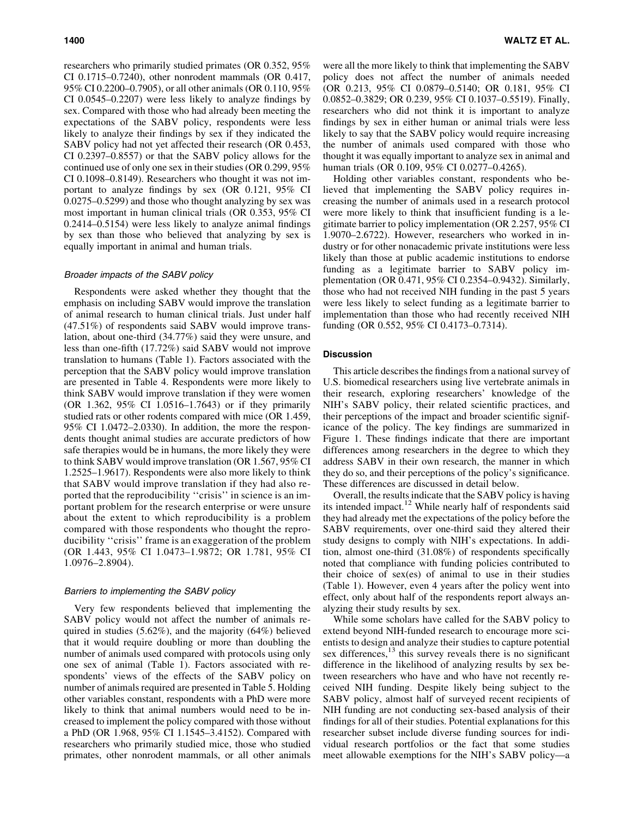researchers who primarily studied primates (OR 0.352, 95% CI 0.1715–0.7240), other nonrodent mammals (OR 0.417, 95% CI 0.2200–0.7905), or all other animals (OR 0.110, 95% CI 0.0545–0.2207) were less likely to analyze findings by sex. Compared with those who had already been meeting the expectations of the SABV policy, respondents were less likely to analyze their findings by sex if they indicated the SABV policy had not yet affected their research (OR 0.453, CI 0.2397–0.8557) or that the SABV policy allows for the continued use of only one sex in their studies (OR 0.299, 95% CI 0.1098–0.8149). Researchers who thought it was not important to analyze findings by sex (OR 0.121, 95% CI 0.0275–0.5299) and those who thought analyzing by sex was most important in human clinical trials (OR 0.353, 95% CI 0.2414–0.5154) were less likely to analyze animal findings by sex than those who believed that analyzing by sex is equally important in animal and human trials.

## Broader impacts of the SABV policy

Respondents were asked whether they thought that the emphasis on including SABV would improve the translation of animal research to human clinical trials. Just under half (47.51%) of respondents said SABV would improve translation, about one-third (34.77%) said they were unsure, and less than one-fifth (17.72%) said SABV would not improve translation to humans (Table 1). Factors associated with the perception that the SABV policy would improve translation are presented in Table 4. Respondents were more likely to think SABV would improve translation if they were women (OR 1.362, 95% CI 1.0516–1.7643) or if they primarily studied rats or other rodents compared with mice (OR 1.459, 95% CI 1.0472–2.0330). In addition, the more the respondents thought animal studies are accurate predictors of how safe therapies would be in humans, the more likely they were to think SABV would improve translation (OR 1.567, 95% CI 1.2525–1.9617). Respondents were also more likely to think that SABV would improve translation if they had also reported that the reproducibility ''crisis'' in science is an important problem for the research enterprise or were unsure about the extent to which reproducibility is a problem compared with those respondents who thought the reproducibility ''crisis'' frame is an exaggeration of the problem (OR 1.443, 95% CI 1.0473–1.9872; OR 1.781, 95% CI 1.0976–2.8904).

## Barriers to implementing the SABV policy

Very few respondents believed that implementing the SABV policy would not affect the number of animals required in studies (5.62%), and the majority (64%) believed that it would require doubling or more than doubling the number of animals used compared with protocols using only one sex of animal (Table 1). Factors associated with respondents' views of the effects of the SABV policy on number of animals required are presented in Table 5. Holding other variables constant, respondents with a PhD were more likely to think that animal numbers would need to be increased to implement the policy compared with those without a PhD (OR 1.968, 95% CI 1.1545–3.4152). Compared with researchers who primarily studied mice, those who studied primates, other nonrodent mammals, or all other animals were all the more likely to think that implementing the SABV policy does not affect the number of animals needed (OR 0.213, 95% CI 0.0879–0.5140; OR 0.181, 95% CI 0.0852–0.3829; OR 0.239, 95% CI 0.1037–0.5519). Finally, researchers who did not think it is important to analyze findings by sex in either human or animal trials were less likely to say that the SABV policy would require increasing the number of animals used compared with those who thought it was equally important to analyze sex in animal and human trials (OR 0.109, 95% CI 0.0277–0.4265).

Holding other variables constant, respondents who believed that implementing the SABV policy requires increasing the number of animals used in a research protocol were more likely to think that insufficient funding is a legitimate barrier to policy implementation (OR 2.257, 95% CI 1.9070–2.6722). However, researchers who worked in industry or for other nonacademic private institutions were less likely than those at public academic institutions to endorse funding as a legitimate barrier to SABV policy implementation (OR 0.471, 95% CI 0.2354–0.9432). Similarly, those who had not received NIH funding in the past 5 years were less likely to select funding as a legitimate barrier to implementation than those who had recently received NIH funding (OR 0.552, 95% CI 0.4173–0.7314).

# **Discussion**

This article describes the findings from a national survey of U.S. biomedical researchers using live vertebrate animals in their research, exploring researchers' knowledge of the NIH's SABV policy, their related scientific practices, and their perceptions of the impact and broader scientific significance of the policy. The key findings are summarized in Figure 1. These findings indicate that there are important differences among researchers in the degree to which they address SABV in their own research, the manner in which they do so, and their perceptions of the policy's significance. These differences are discussed in detail below.

Overall, the results indicate that the SABV policy is having its intended impact.<sup>12</sup> While nearly half of respondents said they had already met the expectations of the policy before the SABV requirements, over one-third said they altered their study designs to comply with NIH's expectations. In addition, almost one-third (31.08%) of respondents specifically noted that compliance with funding policies contributed to their choice of sex(es) of animal to use in their studies (Table 1). However, even 4 years after the policy went into effect, only about half of the respondents report always analyzing their study results by sex.

While some scholars have called for the SABV policy to extend beyond NIH-funded research to encourage more scientists to design and analyze their studies to capture potential sex differences, $^{13}$  this survey reveals there is no significant difference in the likelihood of analyzing results by sex between researchers who have and who have not recently received NIH funding. Despite likely being subject to the SABV policy, almost half of surveyed recent recipients of NIH funding are not conducting sex-based analysis of their findings for all of their studies. Potential explanations for this researcher subset include diverse funding sources for individual research portfolios or the fact that some studies meet allowable exemptions for the NIH's SABV policy—a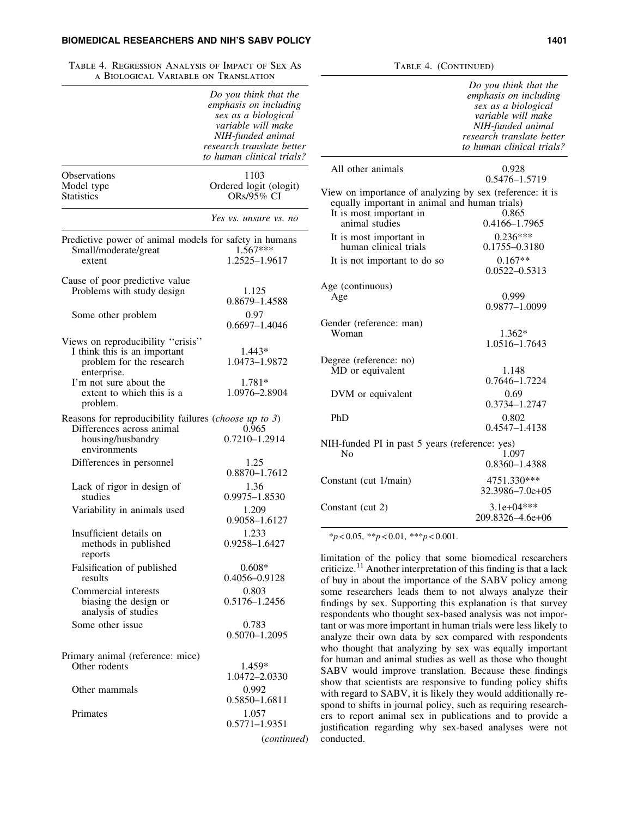# BIOMEDICAL RESEARCHERS AND NIH'S SABV POLICY **1401** 1401

| TABLE 4. REGRESSION ANALYSIS OF IMPACT OF SEX AS<br>A BIOLOGICAL VARIABLE ON TRANSLATION                                |                                                                                                                                                                            |
|-------------------------------------------------------------------------------------------------------------------------|----------------------------------------------------------------------------------------------------------------------------------------------------------------------------|
|                                                                                                                         | Do you think that the<br>emphasis on including<br>sex as a biological<br>variable will make<br>NIH-funded animal<br>research translate better<br>to human clinical trials? |
| Observations<br>Model type<br><b>Statistics</b>                                                                         | 1103<br>Ordered logit (ologit)<br>ORs/95% CI                                                                                                                               |
|                                                                                                                         | Yes vs. unsure vs. no                                                                                                                                                      |
| Predictive power of animal models for safety in humans<br>Small/moderate/great<br>extent                                | $1.567***$<br>1.2525-1.9617                                                                                                                                                |
| Cause of poor predictive value<br>Problems with study design                                                            | 1.125<br>0.8679-1.4588                                                                                                                                                     |
| Some other problem                                                                                                      | 0.97<br>$0.6697 - 1.4046$                                                                                                                                                  |
| Views on reproducibility "crisis"<br>I think this is an important<br>problem for the research<br>enterprise.            | 1.443*<br>1.0473-1.9872                                                                                                                                                    |
| I'm not sure about the<br>extent to which this is a<br>problem.                                                         | 1.781*<br>1.0976-2.8904                                                                                                                                                    |
| Reasons for reproducibility failures (choose up to 3)<br>Differences across animal<br>housing/husbandry<br>environments | 0.965<br>0.7210-1.2914                                                                                                                                                     |
| Differences in personnel                                                                                                | 1.25<br>$0.8870 - 1.7612$                                                                                                                                                  |
| Lack of rigor in design of<br>studies                                                                                   | 1.36<br>0.9975-1.8530                                                                                                                                                      |
| Variability in animals used                                                                                             | 1.209<br>0.9058-1.6127                                                                                                                                                     |
| Insufficient details on<br>methods in published<br>reports                                                              | 1.233<br>0.9258-1.6427                                                                                                                                                     |
| Falsification of published<br>results                                                                                   | $0.608*$<br>0.4056-0.9128                                                                                                                                                  |
| Commercial interests<br>biasing the design or<br>analysis of studies                                                    | 0.803<br>0.5176-1.2456                                                                                                                                                     |
| Some other issue                                                                                                        | 0.783<br>$0.5070 - 1.2095$                                                                                                                                                 |
|                                                                                                                         |                                                                                                                                                                            |
| Primary animal (reference: mice)<br>Other rodents                                                                       | 1.459*<br>1.0472-2.0330                                                                                                                                                    |
| Other mammals                                                                                                           | 0.992<br>0.5850-1.6811                                                                                                                                                     |
| Primates                                                                                                                | 1.057<br>0.5771-1.9351                                                                                                                                                     |
|                                                                                                                         | (continued)                                                                                                                                                                |

|                                                                                                                                                        | Do you think that the<br>emphasis on including<br>sex as a biological<br>variable will make<br>NIH-funded animal<br>research translate better<br>to human clinical trials? |
|--------------------------------------------------------------------------------------------------------------------------------------------------------|----------------------------------------------------------------------------------------------------------------------------------------------------------------------------|
| All other animals                                                                                                                                      | 0.928<br>0.5476-1.5719                                                                                                                                                     |
| View on importance of analyzing by sex (reference: it is<br>equally important in animal and human trials)<br>It is most important in<br>animal studies | 0.865<br>0.4166-1.7965                                                                                                                                                     |
| It is most important in<br>human clinical trials<br>It is not important to do so                                                                       | $0.236***$<br>0.1755-0.3180<br>$0.167**$                                                                                                                                   |
| Age (continuous)<br>Age                                                                                                                                | $0.0522 - 0.5313$<br>0.999<br>0.9877-1.0099                                                                                                                                |
| Gender (reference: man)<br>Woman                                                                                                                       | $1.362*$<br>1.0516-1.7643                                                                                                                                                  |
| Degree (reference: no)<br>MD or equivalent                                                                                                             | 1.148<br>0.7646-1.7224                                                                                                                                                     |
| DVM or equivalent<br>PhD                                                                                                                               | 0.69<br>0.3734-1.2747<br>0.802                                                                                                                                             |
| NIH-funded PI in past 5 years (reference: yes)<br>No                                                                                                   | $0.4547 - 1.4138$<br>1.097<br>0.8360-1.4388                                                                                                                                |
| Constant (cut 1/main)                                                                                                                                  | 4751.330***<br>$32.3986 - 7.0e + 0.5$                                                                                                                                      |
| Constant (cut 2)                                                                                                                                       | $3.1e+04***$<br>209.8326-4.6e+06                                                                                                                                           |

TABLE 4. (CONTINUED)

\**p* < 0.05, \*\**p* < 0.01, \*\*\**p* < 0.001.

limitation of the policy that some biomedical researchers criticize.<sup>11</sup> Another interpretation of this finding is that a lack of buy in about the importance of the SABV policy among some researchers leads them to not always analyze their findings by sex. Supporting this explanation is that survey respondents who thought sex-based analysis was not important or was more important in human trials were less likely to analyze their own data by sex compared with respondents who thought that analyzing by sex was equally important for human and animal studies as well as those who thought SABV would improve translation. Because these findings show that scientists are responsive to funding policy shifts with regard to SABV, it is likely they would additionally respond to shifts in journal policy, such as requiring researchers to report animal sex in publications and to provide a justification regarding why sex-based analyses were not conducted.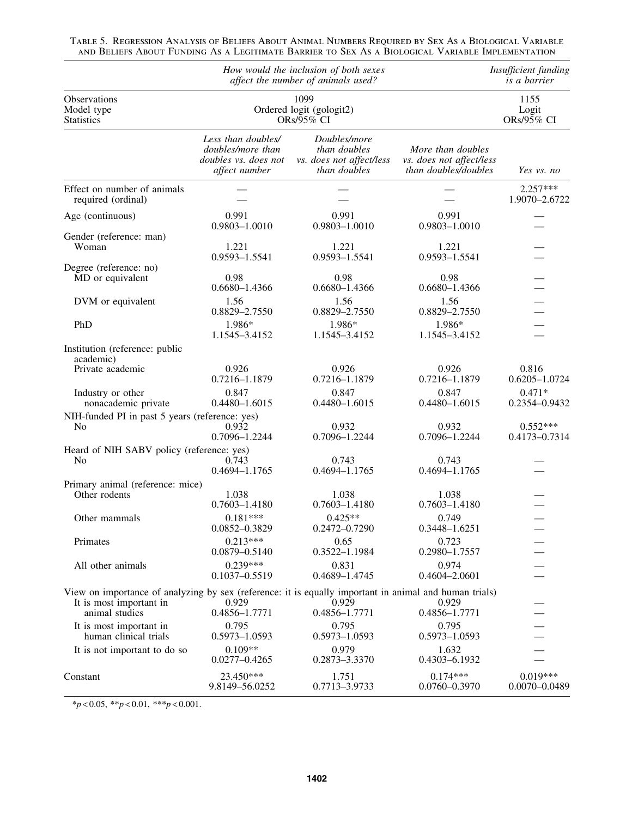|                                                                                                                                                     |                                                                                  | How would the inclusion of both sexes<br>affect the number of animals used? |                                                                       | Insufficient funding<br><i>is a barrier</i> |  |
|-----------------------------------------------------------------------------------------------------------------------------------------------------|----------------------------------------------------------------------------------|-----------------------------------------------------------------------------|-----------------------------------------------------------------------|---------------------------------------------|--|
| Observations<br>Model type<br><b>Statistics</b>                                                                                                     | 1099<br>Ordered logit (gologit2)<br>ORs/95% CI                                   |                                                                             |                                                                       | 1155<br>Logit<br>ORs/95% CI                 |  |
|                                                                                                                                                     | Less than doubles/<br>doubles/more than<br>doubles vs. does not<br>affect number | Doubles/more<br>than doubles<br>vs. does not affect/less<br>than doubles    | More than doubles<br>vs. does not affect/less<br>than doubles/doubles | Yes vs. no                                  |  |
| Effect on number of animals<br>required (ordinal)                                                                                                   |                                                                                  |                                                                             |                                                                       | $2.257***$<br>1.9070-2.6722                 |  |
| Age (continuous)                                                                                                                                    | 0.991<br>0.9803-1.0010                                                           | 0.991<br>0.9803-1.0010                                                      | 0.991<br>0.9803-1.0010                                                |                                             |  |
| Gender (reference: man)<br>Woman                                                                                                                    | 1.221<br>0.9593-1.5541                                                           | 1.221<br>0.9593-1.5541                                                      | 1.221<br>0.9593-1.5541                                                |                                             |  |
| Degree (reference: no)<br>MD or equivalent                                                                                                          | 0.98<br>$0.6680 - 1.4366$                                                        | 0.98<br>0.6680-1.4366                                                       | 0.98<br>$0.6680 - 1.4366$                                             |                                             |  |
| DVM or equivalent                                                                                                                                   | 1.56<br>0.8829-2.7550                                                            | 1.56<br>0.8829-2.7550                                                       | 1.56<br>0.8829-2.7550                                                 |                                             |  |
| PhD                                                                                                                                                 | 1.986*<br>1.1545-3.4152                                                          | 1.986*<br>1.1545-3.4152                                                     | 1.986*<br>1.1545-3.4152                                               |                                             |  |
| Institution (reference: public<br>academic)                                                                                                         |                                                                                  |                                                                             |                                                                       |                                             |  |
| Private academic                                                                                                                                    | 0.926<br>0.7216-1.1879                                                           | 0.926<br>0.7216-1.1879                                                      | 0.926<br>0.7216-1.1879                                                | 0.816<br>$0.6205 - 1.0724$                  |  |
| Industry or other<br>nonacademic private                                                                                                            | 0.847<br>$0.4480 - 1.6015$                                                       | 0.847<br>0.4480-1.6015                                                      | 0.847<br>$0.4480 - 1.6015$                                            | $0.471*$<br>0.2354-0.9432                   |  |
| NIH-funded PI in past 5 years (reference: yes)<br>No                                                                                                | 0.932<br>0.7096-1.2244                                                           | 0.932<br>0.7096-1.2244                                                      | 0.932<br>0.7096-1.2244                                                | $0.552***$<br>0.4173-0.7314                 |  |
| Heard of NIH SABV policy (reference: yes)<br>N <sub>0</sub>                                                                                         | 0.743<br>0.4694-1.1765                                                           | 0.743<br>0.4694-1.1765                                                      | 0.743<br>0.4694-1.1765                                                |                                             |  |
| Primary animal (reference: mice)<br>Other rodents                                                                                                   | 1.038<br>$0.7603 - 1.4180$                                                       | 1.038<br>$0.7603 - 1.4180$                                                  | 1.038<br>$0.7603 - 1.4180$                                            |                                             |  |
| Other mammals                                                                                                                                       | $0.181***$<br>0.0852-0.3829                                                      | $0.425**$<br>$0.2472 - 0.7290$                                              | 0.749<br>0.3448-1.6251                                                |                                             |  |
| Primates                                                                                                                                            | $0.213***$<br>$0.0879 - 0.5140$                                                  | 0.65<br>0.3522-1.1984                                                       | 0.723<br>0.2980-1.7557                                                |                                             |  |
| All other animals                                                                                                                                   | $0.239***$<br>$0.1037 - 0.5519$                                                  | 0.831<br>0.4689-1.4745                                                      | 0.974<br>0.4604-2.0601                                                |                                             |  |
| View on importance of analyzing by sex (reference: it is equally important in animal and human trials)<br>It is most important in<br>animal studies | 0.929<br>0.4856-1.7771                                                           | 0.929<br>0.4856-1.7771                                                      | 0.929<br>0.4856-1.7771                                                |                                             |  |
| It is most important in<br>human clinical trials                                                                                                    | 0.795<br>0.5973-1.0593                                                           | 0.795<br>0.5973-1.0593                                                      | 0.795<br>0.5973-1.0593                                                |                                             |  |
| It is not important to do so                                                                                                                        | $0.109**$<br>$0.0277 - 0.4265$                                                   | 0.979<br>0.2873-3.3370                                                      | 1.632<br>0.4303-6.1932                                                |                                             |  |
| Constant                                                                                                                                            | 23.450***<br>9.8149-56.0252                                                      | 1.751<br>0.7713-3.9733                                                      | $0.174***$<br>0.0760-0.3970                                           | $0.019***$<br>$0.0070 - 0.0489$             |  |

Table 5. Regression Analysis of Beliefs About Animal Numbers Required by Sex As a Biological Variable and Beliefs About Funding As a Legitimate Barrier to Sex As a Biological Variable Implementation

\**p* < 0.05, \*\**p* < 0.01, \*\*\**p* < 0.001.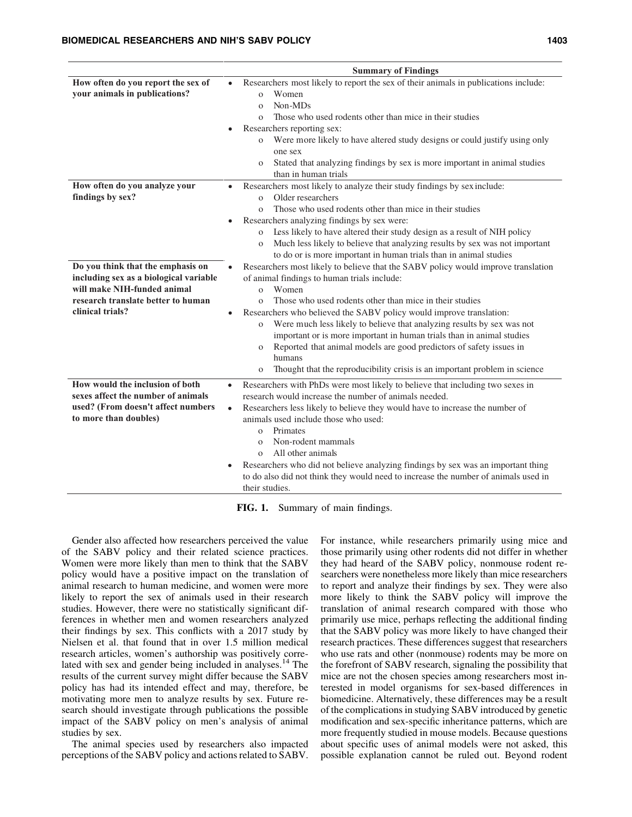**How often do you report the sex of your animals in publications?**

**How often do you analyze your** 

**findings by sex?**

| <b>Summary of Findings</b>                                                                |  |  |
|-------------------------------------------------------------------------------------------|--|--|
| Researchers most likely to report the sex of their animals in publications include:       |  |  |
| Women<br>$\Omega$                                                                         |  |  |
| Non-MDs<br>$\Omega$                                                                       |  |  |
| Those who used rodents other than mice in their studies<br>$\Omega$                       |  |  |
| Researchers reporting sex:                                                                |  |  |
| Were more likely to have altered study designs or could justify using only<br>$\Omega$    |  |  |
| one sex                                                                                   |  |  |
| Stated that analyzing findings by sex is more important in animal studies<br>$\mathbf{O}$ |  |  |
| than in human trials                                                                      |  |  |
| Researchers most likely to analyze their study findings by sex include:                   |  |  |
| Older researchers<br>$\Omega$                                                             |  |  |
| Those who used rodents other than mice in their studies<br>$\Omega$                       |  |  |

|                                        | Those who used rodents other than mice in their studies                                    |
|----------------------------------------|--------------------------------------------------------------------------------------------|
|                                        | Researchers analyzing findings by sex were:                                                |
|                                        | Less likely to have altered their study design as a result of NIH policy<br>$\mathbf{O}$   |
|                                        | Much less likely to believe that analyzing results by sex was not important<br>$\mathbf O$ |
|                                        | to do or is more important in human trials than in animal studies                          |
| Do you think that the emphasis on      | Researchers most likely to believe that the SABV policy would improve translation          |
| including sex as a biological variable | of animal findings to human trials include:                                                |
| will make NIH-funded animal            | Women<br>$\Omega$                                                                          |
| research translate better to human     | Those who used rodents other than mice in their studies<br>$\Omega$                        |
| clinical trials?                       | Researchers who believed the SABV policy would improve translation:<br>$\bullet$           |
|                                        | Were much less likely to believe that analyzing results by sex was not<br>$\mathbf{O}$     |
|                                        | important or is more important in human trials than in animal studies                      |
|                                        | Reported that animal models are good predictors of safety issues in<br>$\mathbf{O}$        |
|                                        | humans                                                                                     |
|                                        | Thought that the reproducibility crisis is an important problem in science<br>$\mathbf O$  |
| How would the inclusion of both        | Researchers with PhDs were most likely to believe that including two sexes in<br>$\bullet$ |
| sexes affect the number of animals     | research would increase the number of animals needed.                                      |
| used? (From doesn't affect numbers     | Researchers less likely to believe they would have to increase the number of<br>$\bullet$  |
| to more than doubles)                  | animals used include those who used:                                                       |
|                                        | Primates<br>$\Omega$                                                                       |
|                                        | Non-rodent mammals<br>$\Omega$                                                             |
|                                        | All other animals<br>$\Omega$                                                              |
|                                        | Researchers who did not believe analyzing findings by sex was an important thing<br>٠      |
|                                        | to do also did not think they would need to increase the number of animals used in         |
|                                        | their studies.                                                                             |

FIG. 1. Summary of main findings.

Gender also affected how researchers perceived the value of the SABV policy and their related science practices. Women were more likely than men to think that the SABV policy would have a positive impact on the translation of animal research to human medicine, and women were more likely to report the sex of animals used in their research studies. However, there were no statistically significant differences in whether men and women researchers analyzed their findings by sex. This conflicts with a 2017 study by Nielsen et al. that found that in over 1.5 million medical research articles, women's authorship was positively correlated with sex and gender being included in analyses.<sup>14</sup> The results of the current survey might differ because the SABV policy has had its intended effect and may, therefore, be motivating more men to analyze results by sex. Future research should investigate through publications the possible impact of the SABV policy on men's analysis of animal studies by sex.

The animal species used by researchers also impacted perceptions of the SABV policy and actions related to SABV. For instance, while researchers primarily using mice and those primarily using other rodents did not differ in whether they had heard of the SABV policy, nonmouse rodent researchers were nonetheless more likely than mice researchers to report and analyze their findings by sex. They were also more likely to think the SABV policy will improve the translation of animal research compared with those who primarily use mice, perhaps reflecting the additional finding that the SABV policy was more likely to have changed their research practices. These differences suggest that researchers who use rats and other (nonmouse) rodents may be more on the forefront of SABV research, signaling the possibility that mice are not the chosen species among researchers most interested in model organisms for sex-based differences in biomedicine. Alternatively, these differences may be a result of the complications in studying SABV introduced by genetic modification and sex-specific inheritance patterns, which are more frequently studied in mouse models. Because questions about specific uses of animal models were not asked, this possible explanation cannot be ruled out. Beyond rodent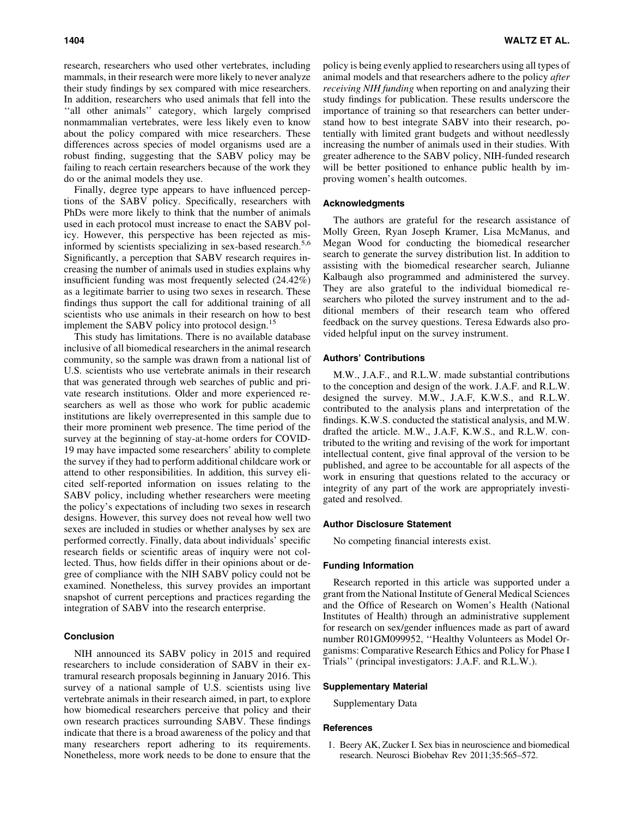research, researchers who used other vertebrates, including mammals, in their research were more likely to never analyze their study findings by sex compared with mice researchers. In addition, researchers who used animals that fell into the ''all other animals'' category, which largely comprised nonmammalian vertebrates, were less likely even to know about the policy compared with mice researchers. These differences across species of model organisms used are a robust finding, suggesting that the SABV policy may be failing to reach certain researchers because of the work they do or the animal models they use.

Finally, degree type appears to have influenced perceptions of the SABV policy. Specifically, researchers with PhDs were more likely to think that the number of animals used in each protocol must increase to enact the SABV policy. However, this perspective has been rejected as misinformed by scientists specializing in sex-based research.<sup>5,6</sup> Significantly, a perception that SABV research requires increasing the number of animals used in studies explains why insufficient funding was most frequently selected (24.42%) as a legitimate barrier to using two sexes in research. These findings thus support the call for additional training of all scientists who use animals in their research on how to best implement the SABV policy into protocol design.<sup>15</sup>

This study has limitations. There is no available database inclusive of all biomedical researchers in the animal research community, so the sample was drawn from a national list of U.S. scientists who use vertebrate animals in their research that was generated through web searches of public and private research institutions. Older and more experienced researchers as well as those who work for public academic institutions are likely overrepresented in this sample due to their more prominent web presence. The time period of the survey at the beginning of stay-at-home orders for COVID-19 may have impacted some researchers' ability to complete the survey if they had to perform additional childcare work or attend to other responsibilities. In addition, this survey elicited self-reported information on issues relating to the SABV policy, including whether researchers were meeting the policy's expectations of including two sexes in research designs. However, this survey does not reveal how well two sexes are included in studies or whether analyses by sex are performed correctly. Finally, data about individuals' specific research fields or scientific areas of inquiry were not collected. Thus, how fields differ in their opinions about or degree of compliance with the NIH SABV policy could not be examined. Nonetheless, this survey provides an important snapshot of current perceptions and practices regarding the integration of SABV into the research enterprise.

## Conclusion

NIH announced its SABV policy in 2015 and required researchers to include consideration of SABV in their extramural research proposals beginning in January 2016. This survey of a national sample of U.S. scientists using live vertebrate animals in their research aimed, in part, to explore how biomedical researchers perceive that policy and their own research practices surrounding SABV. These findings indicate that there is a broad awareness of the policy and that many researchers report adhering to its requirements. Nonetheless, more work needs to be done to ensure that the policy is being evenly applied to researchers using all types of animal models and that researchers adhere to the policy *after receiving NIH funding* when reporting on and analyzing their study findings for publication. These results underscore the importance of training so that researchers can better understand how to best integrate SABV into their research, potentially with limited grant budgets and without needlessly increasing the number of animals used in their studies. With greater adherence to the SABV policy, NIH-funded research will be better positioned to enhance public health by improving women's health outcomes.

#### Acknowledgments

The authors are grateful for the research assistance of Molly Green, Ryan Joseph Kramer, Lisa McManus, and Megan Wood for conducting the biomedical researcher search to generate the survey distribution list. In addition to assisting with the biomedical researcher search, Julianne Kalbaugh also programmed and administered the survey. They are also grateful to the individual biomedical researchers who piloted the survey instrument and to the additional members of their research team who offered feedback on the survey questions. Teresa Edwards also provided helpful input on the survey instrument.

## Authors' Contributions

M.W., J.A.F., and R.L.W. made substantial contributions to the conception and design of the work. J.A.F. and R.L.W. designed the survey. M.W., J.A.F, K.W.S., and R.L.W. contributed to the analysis plans and interpretation of the findings. K.W.S. conducted the statistical analysis, and M.W. drafted the article. M.W., J.A.F, K.W.S., and R.L.W. contributed to the writing and revising of the work for important intellectual content, give final approval of the version to be published, and agree to be accountable for all aspects of the work in ensuring that questions related to the accuracy or integrity of any part of the work are appropriately investigated and resolved.

## Author Disclosure Statement

No competing financial interests exist.

## Funding Information

Research reported in this article was supported under a grant from the National Institute of General Medical Sciences and the Office of Research on Women's Health (National Institutes of Health) through an administrative supplement for research on sex/gender influences made as part of award number R01GM099952, ''Healthy Volunteers as Model Organisms: Comparative Research Ethics and Policy for Phase I Trials'' (principal investigators: J.A.F. and R.L.W.).

## Supplementary Material

Supplementary Data

#### References

1. Beery AK, Zucker I. Sex bias in neuroscience and biomedical research. Neurosci Biobehav Rev 2011;35:565–572.